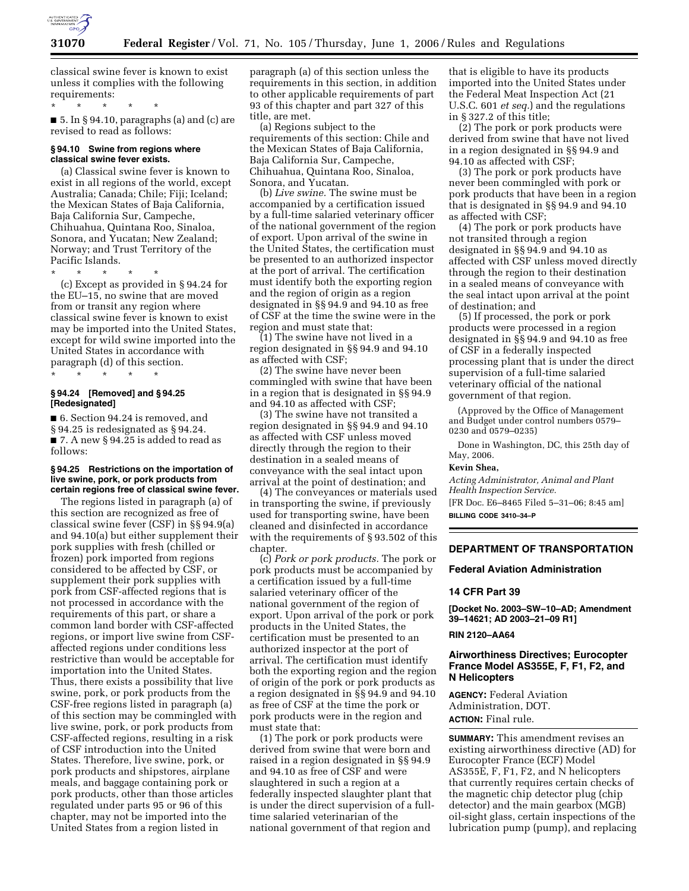

classical swine fever is known to exist unless it complies with the following requirements:

\* \* \* \* \*  $\blacksquare$  5. In § 94.10, paragraphs (a) and (c) are revised to read as follows:

## **§ 94.10 Swine from regions where classical swine fever exists.**

(a) Classical swine fever is known to exist in all regions of the world, except Australia; Canada; Chile; Fiji; Iceland; the Mexican States of Baja California, Baja California Sur, Campeche, Chihuahua, Quintana Roo, Sinaloa, Sonora, and Yucatan; New Zealand; Norway; and Trust Territory of the Pacific Islands.

\* \* \* \* \*

(c) Except as provided in § 94.24 for the EU–15, no swine that are moved from or transit any region where classical swine fever is known to exist may be imported into the United States, except for wild swine imported into the United States in accordance with paragraph (d) of this section.

\* \* \* \* \*

### **§ 94.24 [Removed] and § 94.25 [Redesignated]**

■ 6. Section 94.24 is removed, and § 94.25 is redesignated as § 94.24.  $\blacksquare$  7. A new § 94.25 is added to read as follows:

### **§ 94.25 Restrictions on the importation of live swine, pork, or pork products from certain regions free of classical swine fever.**

The regions listed in paragraph (a) of this section are recognized as free of classical swine fever (CSF) in §§ 94.9(a) and 94.10(a) but either supplement their pork supplies with fresh (chilled or frozen) pork imported from regions considered to be affected by CSF, or supplement their pork supplies with pork from CSF-affected regions that is not processed in accordance with the requirements of this part, or share a common land border with CSF-affected regions, or import live swine from CSFaffected regions under conditions less restrictive than would be acceptable for importation into the United States. Thus, there exists a possibility that live swine, pork, or pork products from the CSF-free regions listed in paragraph (a) of this section may be commingled with live swine, pork, or pork products from CSF-affected regions, resulting in a risk of CSF introduction into the United States. Therefore, live swine, pork, or pork products and shipstores, airplane meals, and baggage containing pork or pork products, other than those articles regulated under parts 95 or 96 of this chapter, may not be imported into the United States from a region listed in

paragraph (a) of this section unless the requirements in this section, in addition to other applicable requirements of part 93 of this chapter and part 327 of this title, are met.

(a) Regions subject to the requirements of this section: Chile and the Mexican States of Baja California, Baja California Sur, Campeche, Chihuahua, Quintana Roo, Sinaloa, Sonora, and Yucatan.

(b) *Live swine.* The swine must be accompanied by a certification issued by a full-time salaried veterinary officer of the national government of the region of export. Upon arrival of the swine in the United States, the certification must be presented to an authorized inspector at the port of arrival. The certification must identify both the exporting region and the region of origin as a region designated in §§ 94.9 and 94.10 as free of CSF at the time the swine were in the region and must state that:

(1) The swine have not lived in a region designated in §§ 94.9 and 94.10 as affected with CSF;

(2) The swine have never been commingled with swine that have been in a region that is designated in §§ 94.9 and 94.10 as affected with CSF;

(3) The swine have not transited a region designated in §§ 94.9 and 94.10 as affected with CSF unless moved directly through the region to their destination in a sealed means of conveyance with the seal intact upon arrival at the point of destination; and

(4) The conveyances or materials used in transporting the swine, if previously used for transporting swine, have been cleaned and disinfected in accordance with the requirements of § 93.502 of this chapter.

(c) *Pork or pork products.* The pork or pork products must be accompanied by a certification issued by a full-time salaried veterinary officer of the national government of the region of export. Upon arrival of the pork or pork products in the United States, the certification must be presented to an authorized inspector at the port of arrival. The certification must identify both the exporting region and the region of origin of the pork or pork products as a region designated in §§ 94.9 and 94.10 as free of CSF at the time the pork or pork products were in the region and must state that:

(1) The pork or pork products were derived from swine that were born and raised in a region designated in §§ 94.9 and 94.10 as free of CSF and were slaughtered in such a region at a federally inspected slaughter plant that is under the direct supervision of a fulltime salaried veterinarian of the national government of that region and

that is eligible to have its products imported into the United States under the Federal Meat Inspection Act (21 U.S.C. 601 *et seq.*) and the regulations in § 327.2 of this title;

(2) The pork or pork products were derived from swine that have not lived in a region designated in §§ 94.9 and 94.10 as affected with CSF;

(3) The pork or pork products have never been commingled with pork or pork products that have been in a region that is designated in §§ 94.9 and 94.10 as affected with CSF;

(4) The pork or pork products have not transited through a region designated in §§ 94.9 and 94.10 as affected with CSF unless moved directly through the region to their destination in a sealed means of conveyance with the seal intact upon arrival at the point of destination; and

(5) If processed, the pork or pork products were processed in a region designated in §§ 94.9 and 94.10 as free of CSF in a federally inspected processing plant that is under the direct supervision of a full-time salaried veterinary official of the national government of that region.

(Approved by the Office of Management and Budget under control numbers 0579– 0230 and 0579–0235)

Done in Washington, DC, this 25th day of May, 2006.

### **Kevin Shea,**

*Acting Administrator, Animal and Plant Health Inspection Service.*  [FR Doc. E6–8465 Filed 5–31–06; 8:45 am] **BILLING CODE 3410–34–P** 

**DEPARTMENT OF TRANSPORTATION** 

### **Federal Aviation Administration**

## **14 CFR Part 39**

**[Docket No. 2003–SW–10–AD; Amendment 39–14621; AD 2003–21–09 R1]** 

### **RIN 2120–AA64**

## **Airworthiness Directives; Eurocopter France Model AS355E, F, F1, F2, and N Helicopters**

**AGENCY:** Federal Aviation Administration, DOT. **ACTION:** Final rule.

**SUMMARY:** This amendment revises an existing airworthiness directive (AD) for Eurocopter France (ECF) Model AS355E, F, F1, F2, and N helicopters that currently requires certain checks of the magnetic chip detector plug (chip detector) and the main gearbox (MGB) oil-sight glass, certain inspections of the lubrication pump (pump), and replacing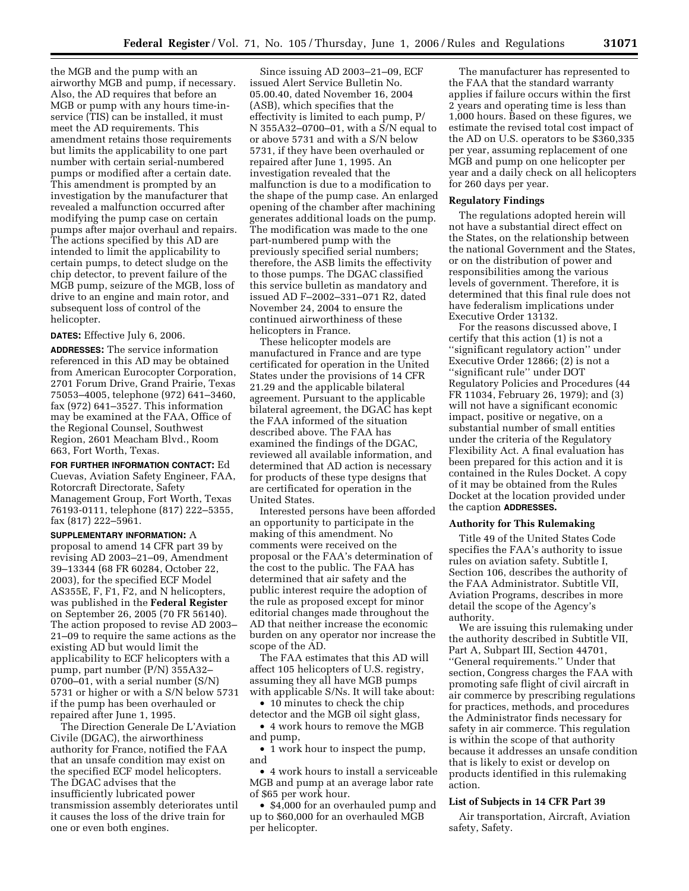the MGB and the pump with an airworthy MGB and pump, if necessary. Also, the AD requires that before an MGB or pump with any hours time-inservice (TIS) can be installed, it must meet the AD requirements. This amendment retains those requirements but limits the applicability to one part number with certain serial-numbered pumps or modified after a certain date. This amendment is prompted by an investigation by the manufacturer that revealed a malfunction occurred after modifying the pump case on certain pumps after major overhaul and repairs. The actions specified by this AD are intended to limit the applicability to certain pumps, to detect sludge on the chip detector, to prevent failure of the MGB pump, seizure of the MGB, loss of drive to an engine and main rotor, and subsequent loss of control of the helicopter.

**DATES:** Effective July 6, 2006.

**ADDRESSES:** The service information referenced in this AD may be obtained from American Eurocopter Corporation, 2701 Forum Drive, Grand Prairie, Texas 75053–4005, telephone (972) 641–3460, fax (972) 641–3527. This information may be examined at the FAA, Office of the Regional Counsel, Southwest Region, 2601 Meacham Blvd., Room 663, Fort Worth, Texas.

**FOR FURTHER INFORMATION CONTACT:** Ed Cuevas, Aviation Safety Engineer, FAA, Rotorcraft Directorate, Safety Management Group, Fort Worth, Texas 76193-0111, telephone (817) 222–5355, fax (817) 222–5961.

**SUPPLEMENTARY INFORMATION:** A proposal to amend 14 CFR part 39 by revising AD 2003–21–09, Amendment 39–13344 (68 FR 60284, October 22, 2003), for the specified ECF Model AS355E, F, F1, F2, and N helicopters, was published in the **Federal Register**  on September 26, 2005 (70 FR 56140). The action proposed to revise AD 2003– 21–09 to require the same actions as the existing AD but would limit the applicability to ECF helicopters with a pump, part number (P/N) 355A32– 0700–01, with a serial number (S/N) 5731 or higher or with a S/N below 5731 if the pump has been overhauled or repaired after June 1, 1995.

The Direction Generale De L'Aviation Civile (DGAC), the airworthiness authority for France, notified the FAA that an unsafe condition may exist on the specified ECF model helicopters. The DGAC advises that the insufficiently lubricated power transmission assembly deteriorates until it causes the loss of the drive train for one or even both engines.

Since issuing AD 2003–21–09, ECF issued Alert Service Bulletin No. 05.00.40, dated November 16, 2004 (ASB), which specifies that the effectivity is limited to each pump, P/ N 355A32–0700–01, with a S/N equal to or above 5731 and with a S/N below 5731, if they have been overhauled or repaired after June 1, 1995. An investigation revealed that the malfunction is due to a modification to the shape of the pump case. An enlarged opening of the chamber after machining generates additional loads on the pump. The modification was made to the one part-numbered pump with the previously specified serial numbers; therefore, the ASB limits the effectivity to those pumps. The DGAC classified this service bulletin as mandatory and issued AD F–2002–331–071 R2, dated November 24, 2004 to ensure the continued airworthiness of these helicopters in France.

These helicopter models are manufactured in France and are type certificated for operation in the United States under the provisions of 14 CFR 21.29 and the applicable bilateral agreement. Pursuant to the applicable bilateral agreement, the DGAC has kept the FAA informed of the situation described above. The FAA has examined the findings of the DGAC, reviewed all available information, and determined that AD action is necessary for products of these type designs that are certificated for operation in the United States.

Interested persons have been afforded an opportunity to participate in the making of this amendment. No comments were received on the proposal or the FAA's determination of the cost to the public. The FAA has determined that air safety and the public interest require the adoption of the rule as proposed except for minor editorial changes made throughout the AD that neither increase the economic burden on any operator nor increase the scope of the AD.

The FAA estimates that this AD will affect 105 helicopters of U.S. registry, assuming they all have MGB pumps with applicable S/Ns. It will take about:

• 10 minutes to check the chip detector and the MGB oil sight glass,

• 4 work hours to remove the MGB and pump,

• 1 work hour to inspect the pump, and

• 4 work hours to install a serviceable MGB and pump at an average labor rate of \$65 per work hour.

• \$4,000 for an overhauled pump and up to \$60,000 for an overhauled MGB per helicopter.

The manufacturer has represented to the FAA that the standard warranty applies if failure occurs within the first 2 years and operating time is less than 1,000 hours. Based on these figures, we estimate the revised total cost impact of the AD on U.S. operators to be \$360,335 per year, assuming replacement of one MGB and pump on one helicopter per year and a daily check on all helicopters for 260 days per year.

### **Regulatory Findings**

The regulations adopted herein will not have a substantial direct effect on the States, on the relationship between the national Government and the States, or on the distribution of power and responsibilities among the various levels of government. Therefore, it is determined that this final rule does not have federalism implications under Executive Order 13132.

For the reasons discussed above, I certify that this action (1) is not a ''significant regulatory action'' under Executive Order 12866; (2) is not a ''significant rule'' under DOT Regulatory Policies and Procedures (44 FR 11034, February 26, 1979); and (3) will not have a significant economic impact, positive or negative, on a substantial number of small entities under the criteria of the Regulatory Flexibility Act. A final evaluation has been prepared for this action and it is contained in the Rules Docket. A copy of it may be obtained from the Rules Docket at the location provided under the caption **ADDRESSES.** 

### **Authority for This Rulemaking**

Title 49 of the United States Code specifies the FAA's authority to issue rules on aviation safety. Subtitle I, Section 106, describes the authority of the FAA Administrator. Subtitle VII, Aviation Programs, describes in more detail the scope of the Agency's authority.

We are issuing this rulemaking under the authority described in Subtitle VII, Part A, Subpart III, Section 44701, ''General requirements.'' Under that section, Congress charges the FAA with promoting safe flight of civil aircraft in air commerce by prescribing regulations for practices, methods, and procedures the Administrator finds necessary for safety in air commerce. This regulation is within the scope of that authority because it addresses an unsafe condition that is likely to exist or develop on products identified in this rulemaking action.

## **List of Subjects in 14 CFR Part 39**

Air transportation, Aircraft, Aviation safety, Safety.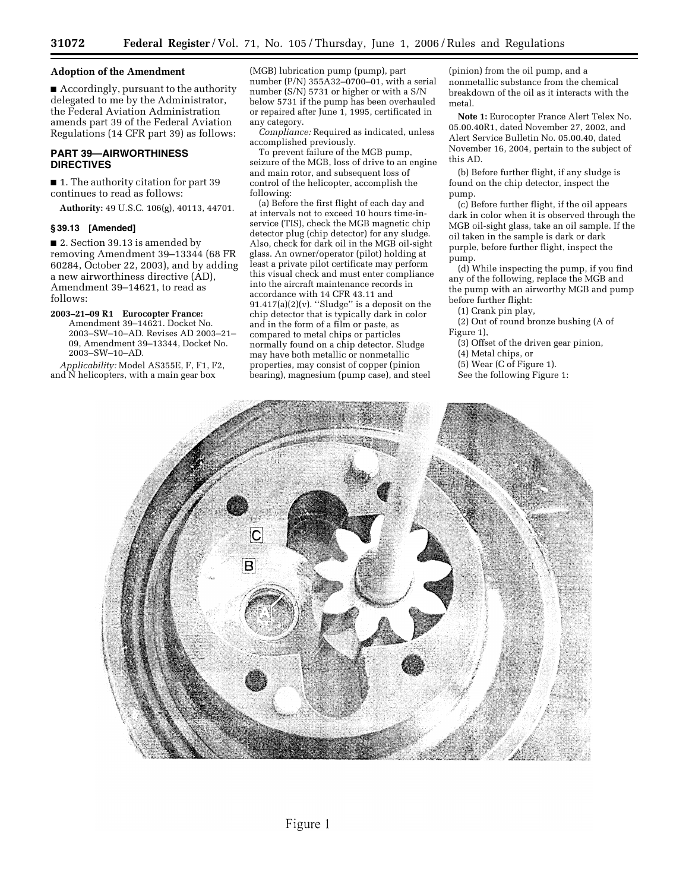## **Adoption of the Amendment**

■ Accordingly, pursuant to the authority delegated to me by the Administrator, the Federal Aviation Administration amends part 39 of the Federal Aviation Regulations (14 CFR part 39) as follows:

# **PART 39—AIRWORTHINESS DIRECTIVES**

■ 1. The authority citation for part 39 continues to read as follows:

**Authority:** 49 U.S.C. 106(g), 40113, 44701.

## **§ 39.13 [Amended]**

■ 2. Section 39.13 is amended by removing Amendment 39–13344 (68 FR 60284, October 22, 2003), and by adding a new airworthiness directive (AD), Amendment 39–14621, to read as follows:

# **2003–21–09 R1 Eurocopter France:**

Amendment 39–14621. Docket No. 2003–SW–10–AD. Revises AD 2003–21– 09, Amendment 39–13344, Docket No. 2003–SW–10–AD.

*Applicability:* Model AS355E, F, F1, F2, and N helicopters, with a main gear box

(MGB) lubrication pump (pump), part number (P/N) 355A32- $0$ 700-01, with a serial number (S/N) 5731 or higher or with a S/N below 5731 if the pump has been overhauled or repaired after June 1, 1995, certificated in any category.

*Compliance:* Required as indicated, unless accomplished previously.

To prevent failure of the MGB pump, seizure of the MGB, loss of drive to an engine and main rotor, and subsequent loss of control of the helicopter, accomplish the following:

(a) Before the first flight of each day and at intervals not to exceed 10 hours time-inservice (TIS), check the MGB magnetic chip detector plug (chip detector) for any sludge. Also, check for dark oil in the MGB oil-sight glass. An owner/operator (pilot) holding at least a private pilot certificate may perform this visual check and must enter compliance into the aircraft maintenance records in accordance with 14 CFR 43.11 and 91.417(a)(2)(v). ''Sludge'' is a deposit on the chip detector that is typically dark in color and in the form of a film or paste, as compared to metal chips or particles normally found on a chip detector. Sludge may have both metallic or nonmetallic properties, may consist of copper (pinion bearing), magnesium (pump case), and steel

(pinion) from the oil pump, and a nonmetallic substance from the chemical breakdown of the oil as it interacts with the metal.

**Note 1:** Eurocopter France Alert Telex No. 05.00.40R1, dated November 27, 2002, and Alert Service Bulletin No. 05.00.40, dated November 16, 2004, pertain to the subject of this AD.

(b) Before further flight, if any sludge is found on the chip detector, inspect the pump.

(c) Before further flight, if the oil appears dark in color when it is observed through the MGB oil-sight glass, take an oil sample. If the oil taken in the sample is dark or dark purple, before further flight, inspect the pump.

(d) While inspecting the pump, if you find any of the following, replace the MGB and the pump with an airworthy MGB and pump before further flight:

(1) Crank pin play,

- (2) Out of round bronze bushing (A of Figure 1),
- (3) Offset of the driven gear pinion,

(4) Metal chips, or

- (5) Wear (C of Figure 1).
- See the following Figure 1: